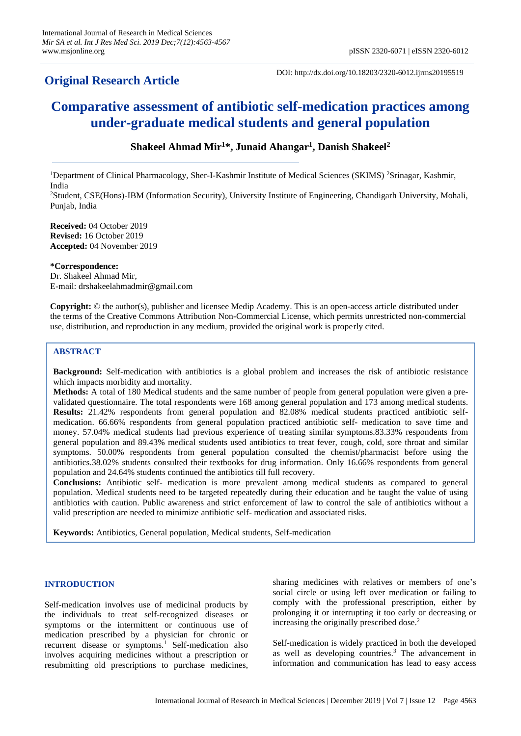# **Original Research Article**

DOI: http://dx.doi.org/10.18203/2320-6012.ijrms20195519

# **Comparative assessment of antibiotic self-medication practices among under-graduate medical students and general population**

# **Shakeel Ahmad Mir<sup>1</sup>\*, Junaid Ahangar<sup>1</sup> , Danish Shakeel<sup>2</sup>**

<sup>1</sup>Department of Clinical Pharmacology, Sher-I-Kashmir Institute of Medical Sciences (SKIMS) <sup>2</sup>Srinagar, Kashmir, India

<sup>2</sup>Student, CSE(Hons)-IBM (Information Security), University Institute of Engineering, Chandigarh University, Mohali, Punjab, India

**Received:** 04 October 2019 **Revised:** 16 October 2019 **Accepted:** 04 November 2019

**\*Correspondence:** Dr. Shakeel Ahmad Mir, E-mail: drshakeelahmadmir@gmail.com

**Copyright:** © the author(s), publisher and licensee Medip Academy. This is an open-access article distributed under the terms of the Creative Commons Attribution Non-Commercial License, which permits unrestricted non-commercial use, distribution, and reproduction in any medium, provided the original work is properly cited.

# **ABSTRACT**

**Background:** Self-medication with antibiotics is a global problem and increases the risk of antibiotic resistance which impacts morbidity and mortality.

**Methods:** A total of 180 Medical students and the same number of people from general population were given a prevalidated questionnaire. The total respondents were 168 among general population and 173 among medical students. **Results:** 21.42% respondents from general population and 82.08% medical students practiced antibiotic selfmedication. 66.66% respondents from general population practiced antibiotic self- medication to save time and money. 57.04% medical students had previous experience of treating similar symptoms.83.33% respondents from general population and 89.43% medical students used antibiotics to treat fever, cough, cold, sore throat and similar symptoms. 50.00% respondents from general population consulted the chemist/pharmacist before using the antibiotics.38.02% students consulted their textbooks for drug information. Only 16.66% respondents from general population and 24.64% students continued the antibiotics till full recovery.

**Conclusions:** Antibiotic self- medication is more prevalent among medical students as compared to general population. Medical students need to be targeted repeatedly during their education and be taught the value of using antibiotics with caution. Public awareness and strict enforcement of law to control the sale of antibiotics without a valid prescription are needed to minimize antibiotic self- medication and associated risks.

**Keywords:** Antibiotics, General population, Medical students, Self-medication

# **INTRODUCTION**

Self-medication involves use of medicinal products by the individuals to treat self-recognized diseases or symptoms or the intermittent or continuous use of medication prescribed by a physician for chronic or recurrent disease or symptoms.<sup>1</sup> Self-medication also involves acquiring medicines without a prescription or resubmitting old prescriptions to purchase medicines, sharing medicines with relatives or members of one's social circle or using left over medication or failing to comply with the professional prescription, either by prolonging it or interrupting it too early or decreasing or increasing the originally prescribed dose.<sup>2</sup>

Self-medication is widely practiced in both the developed as well as developing countries.<sup>3</sup> The advancement in information and communication has lead to easy access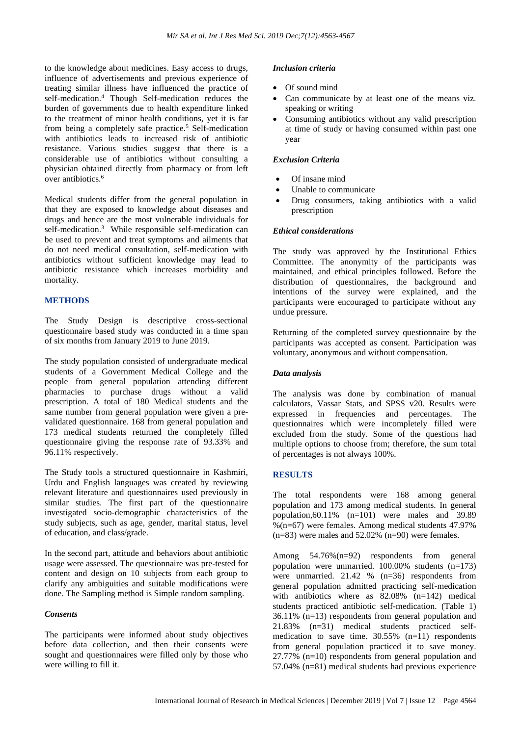to the knowledge about medicines. Easy access to drugs, influence of advertisements and previous experience of treating similar illness have influenced the practice of self-medication.<sup>4</sup> Though Self-medication reduces the burden of governments due to health expenditure linked to the treatment of minor health conditions, yet it is far from being a completely safe practice.<sup>5</sup> Self-medication with antibiotics leads to increased risk of antibiotic resistance. Various studies suggest that there is a considerable use of antibiotics without consulting a physician obtained directly from pharmacy or from left over antibiotics.<sup>6</sup>

Medical students differ from the general population in that they are exposed to knowledge about diseases and drugs and hence are the most vulnerable individuals for self-medication.<sup>3</sup> While responsible self-medication can be used to prevent and treat symptoms and ailments that do not need medical consultation, self-medication with antibiotics without sufficient knowledge may lead to antibiotic resistance which increases morbidity and mortality.

# **METHODS**

The Study Design is descriptive cross-sectional questionnaire based study was conducted in a time span of six months from January 2019 to June 2019.

The study population consisted of undergraduate medical students of a Government Medical College and the people from general population attending different pharmacies to purchase drugs without a valid prescription. A total of 180 Medical students and the same number from general population were given a prevalidated questionnaire. 168 from general population and 173 medical students returned the completely filled questionnaire giving the response rate of 93.33% and 96.11% respectively.

The Study tools a structured questionnaire in Kashmiri, Urdu and English languages was created by reviewing relevant literature and questionnaires used previously in similar studies. The first part of the questionnaire investigated socio-demographic characteristics of the study subjects, such as age, gender, marital status, level of education, and class/grade.

In the second part, attitude and behaviors about antibiotic usage were assessed. The questionnaire was pre-tested for content and design on 10 subjects from each group to clarify any ambiguities and suitable modifications were done. The Sampling method is Simple random sampling.

# *Consents*

The participants were informed about study objectives before data collection, and then their consents were sought and questionnaires were filled only by those who were willing to fill it.

#### *Inclusion criteria*

- Of sound mind
- Can communicate by at least one of the means viz. speaking or writing
- Consuming antibiotics without any valid prescription at time of study or having consumed within past one year

#### *Exclusion Criteria*

- Of insane mind
- Unable to communicate
- Drug consumers, taking antibiotics with a valid prescription

#### *Ethical considerations*

The study was approved by the Institutional Ethics Committee. The anonymity of the participants was maintained, and ethical principles followed. Before the distribution of questionnaires, the background and intentions of the survey were explained, and the participants were encouraged to participate without any undue pressure.

Returning of the completed survey questionnaire by the participants was accepted as consent. Participation was voluntary, anonymous and without compensation.

# *Data analysis*

The analysis was done by combination of manual calculators, Vassar Stats, and SPSS v20. Results were expressed in frequencies and percentages. The questionnaires which were incompletely filled were excluded from the study. Some of the questions had multiple options to choose from; therefore, the sum total of percentages is not always 100%.

# **RESULTS**

The total respondents were 168 among general population and 173 among medical students. In general population,60.11%  $(n=101)$  were males and 39.89  $% (n=67)$  were females. Among medical students 47.97%  $(n=83)$  were males and 52.02%  $(n=90)$  were females.

Among 54.76%(n=92) respondents from general population were unmarried. 100.00% students (n=173) were unmarried.  $21.42 \%$  (n=36) respondents from general population admitted practicing self-medication with antibiotics where as 82.08% (n=142) medical students practiced antibiotic self-medication. (Table 1) 36.11% (n=13) respondents from general population and 21.83% (n=31) medical students practiced selfmedication to save time.  $30.55\%$  (n=11) respondents from general population practiced it to save money. 27.77% (n=10) respondents from general population and 57.04% (n=81) medical students had previous experience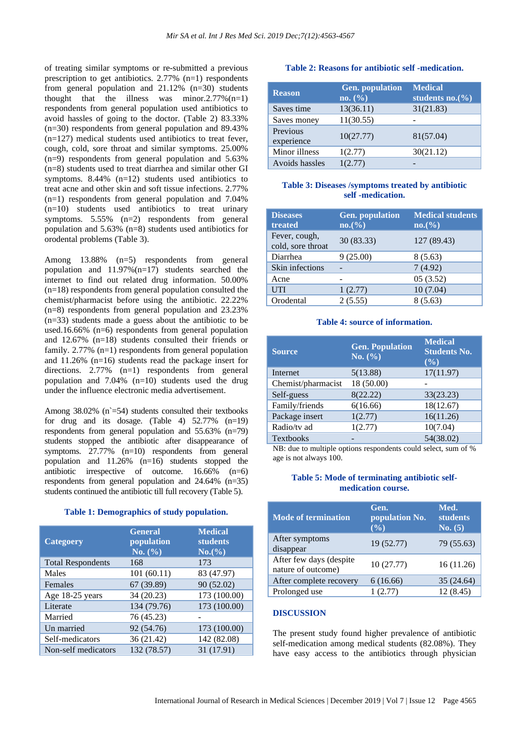of treating similar symptoms or re-submitted a previous prescription to get antibiotics.  $2.77\%$  (n=1) respondents from general population and 21.12% (n=30) students thought that the illness was minor.2.77%(n=1) respondents from general population used antibiotics to avoid hassles of going to the doctor. (Table 2) 83.33% (n=30) respondents from general population and 89.43% (n=127) medical students used antibiotics to treat fever, cough, cold, sore throat and similar symptoms. 25.00% (n=9) respondents from general population and 5.63% (n=8) students used to treat diarrhea and similar other GI symptoms.  $8.44\%$  (n=12) students used antibiotics to treat acne and other skin and soft tissue infections. 2.77% (n=1) respondents from general population and 7.04%  $(n=10)$  students used antibiotics to treat urinary symptoms. 5.55% (n=2) respondents from general population and 5.63% (n=8) students used antibiotics for orodental problems (Table 3).

Among 13.88% (n=5) respondents from general population and 11.97%(n=17) students searched the internet to find out related drug information. 50.00% (n=18) respondents from general population consulted the chemist/pharmacist before using the antibiotic. 22.22% (n=8) respondents from general population and 23.23% (n=33) students made a guess about the antibiotic to be used.16.66% (n=6) respondents from general population and 12.67% (n=18) students consulted their friends or family. 2.77% (n=1) respondents from general population and 11.26% (n=16) students read the package insert for directions. 2.77% (n=1) respondents from general population and 7.04% (n=10) students used the drug under the influence electronic media advertisement.

Among  $38.02\%$  (n`=54) students consulted their textbooks for drug and its dosage. (Table 4) 52.77% (n=19) respondents from general population and 55.63% (n=79) students stopped the antibiotic after disappearance of symptoms. 27.77% (n=10) respondents from general population and 11.26% (n=16) students stopped the antibiotic irrespective of outcome. 16.66% (n=6) respondents from general population and 24.64% (n=35) students continued the antibiotic till full recovery (Table 5).

#### **Table 1: Demographics of study population.**

| <b>Categoery</b>         | <b>General</b><br>population<br>No. (%) | <b>Medical</b><br><b>students</b><br>No. (%) |
|--------------------------|-----------------------------------------|----------------------------------------------|
| <b>Total Respondents</b> | 168                                     | 173                                          |
| Males                    | 101(60.11)                              | 83 (47.97)                                   |
| Females                  | 67 (39.89)                              | 90 (52.02)                                   |
| Age 18-25 years          | 34 (20.23)                              | 173 (100.00)                                 |
| Literate                 | 134 (79.76)                             | 173 (100.00)                                 |
| Married                  | 76 (45.23)                              |                                              |
| Un married               | 92 (54.76)                              | 173 (100.00)                                 |
| Self-medicators          | 36 (21.42)                              | 142 (82.08)                                  |
| Non-self medicators      | 132 (78.57)                             | 31 (17.91)                                   |

#### **Table 2: Reasons for antibiotic self -medication.**

| <b>Reason</b>          | <b>Gen.</b> population<br>no. (%) | <b>Medical</b><br>students $no.(%)$ |
|------------------------|-----------------------------------|-------------------------------------|
| Saves time             | 13(36.11)                         | 31(21.83)                           |
| Saves money            | 11(30.55)                         |                                     |
| Previous<br>experience | 10(27.77)                         | 81(57.04)                           |
| Minor illness          | 1(2.77)                           | 30(21.12)                           |
| Avoids hassles         | 1(2.77)                           |                                     |

#### **Table 3: Diseases /symptoms treated by antibiotic self -medication.**

| <b>Diseases</b><br>treated         | <b>Gen.</b> population<br>no.(%) | <b>Medical students</b><br>$no.(\%)$ |
|------------------------------------|----------------------------------|--------------------------------------|
| Fever, cough,<br>cold, sore throat | 30(83.33)                        | 127 (89.43)                          |
| Diarrhea                           | 9(25.00)                         | 8(5.63)                              |
| Skin infections                    |                                  | 7(4.92)                              |
| Acne                               |                                  | 05(3.52)                             |
| <b>UTI</b>                         | 1(2.77)                          | 10(7.04)                             |
| Orodental                          | 2(5.55)                          | 8(5.63)                              |

#### **Table 4: source of information.**

| <b>Source</b>      | <b>Gen. Population</b><br>No. $(\% )$ | <b>Medical</b><br><b>Students No.</b><br>$($ %) |
|--------------------|---------------------------------------|-------------------------------------------------|
| Internet           | 5(13.88)                              | 17(11.97)                                       |
| Chemist/pharmacist | 18 (50.00)                            |                                                 |
| Self-guess         | 8(22.22)                              | 33(23.23)                                       |
| Family/friends     | 6(16.66)                              | 18(12.67)                                       |
| Package insert     | 1(2.77)                               | 16(11.26)                                       |
| Radio/tv ad        | 1(2.77)                               | 10(7.04)                                        |
| <b>Textbooks</b>   |                                       | 54(38.02)                                       |

NB: due to multiple options respondents could select, sum of % age is not always 100.

#### **Table 5: Mode of terminating antibiotic selfmedication course.**

| <b>Mode of termination</b>                    | Gen.<br>population No.<br>$(\%)$ | Med.<br><b>students</b><br>No. (5) |
|-----------------------------------------------|----------------------------------|------------------------------------|
| After symptoms<br>disappear                   | 19 (52.77)                       | 79 (55.63)                         |
| After few days (despite<br>nature of outcome) | 10(27.77)                        | 16(11.26)                          |
| After complete recovery                       | 6(16.66)                         | 35 (24.64)                         |
| Prolonged use                                 | (2.77)                           | 12 (8.45)                          |

#### **DISCUSSION**

The present study found higher prevalence of antibiotic self-medication among medical students (82.08%). They have easy access to the antibiotics through physician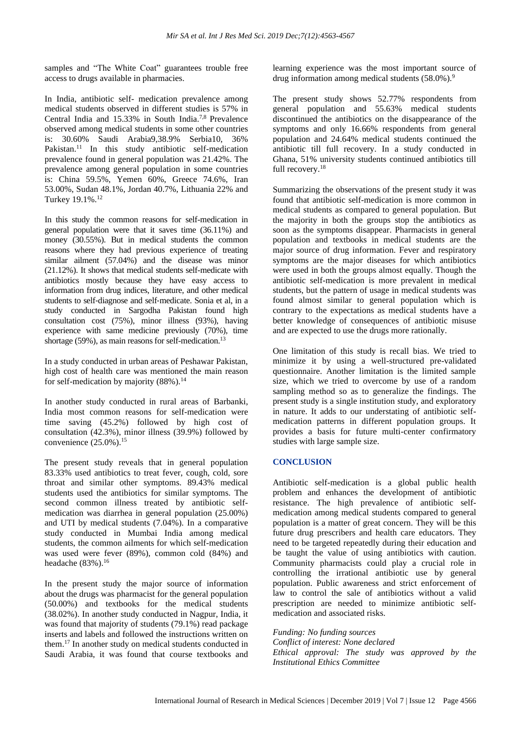samples and "The White Coat" guarantees trouble free access to drugs available in pharmacies.

In India, antibiotic self- medication prevalence among medical students observed in different studies is 57% in Central India and 15.33% in South India.7,8 Prevalence observed among medical students in some other countries is: 30.60% Saudi Arabia9,38.9% Serbia10, 36% Pakistan.<sup>11</sup> In this study antibiotic self-medication prevalence found in general population was 21.42%. The prevalence among general population in some countries is: China 59.5%, Yemen 60%, Greece 74.6%, Iran 53.00%, Sudan 48.1%, Jordan 40.7%, Lithuania 22% and Turkey 19.1%.<sup>12</sup>

In this study the common reasons for self-medication in general population were that it saves time (36.11%) and money (30.55%). But in medical students the common reasons where they had previous experience of treating similar ailment (57.04%) and the disease was minor (21.12%). It shows that medical students self-medicate with antibiotics mostly because they have easy access to information from drug indices, literature, and other medical students to self‐diagnose and self‐medicate. Sonia et al, in a study conducted in Sargodha Pakistan found high consultation cost (75%), minor illness (93%), having experience with same medicine previously (70%), time shortage (59%), as main reasons for self-medication.<sup>13</sup>

In a study conducted in urban areas of Peshawar Pakistan, high cost of health care was mentioned the main reason for self-medication by majority  $(88\%)$ .<sup>14</sup>

In another study conducted in rural areas of Barbanki, India most common reasons for self-medication were time saving (45.2%) followed by high cost of consultation (42.3%), minor illness (39.9%) followed by convenience  $(25.0\%)$ .<sup>15</sup>

The present study reveals that in general population 83.33% used antibiotics to treat fever, cough, cold, sore throat and similar other symptoms. 89.43% medical students used the antibiotics for similar symptoms. The second common illness treated by antibiotic selfmedication was diarrhea in general population (25.00%) and UTI by medical students (7.04%). In a comparative study conducted in Mumbai India among medical students, the common ailments for which self-medication was used were fever (89%), common cold (84%) and headache  $(83\%)$ .<sup>16</sup>

In the present study the major source of information about the drugs was pharmacist for the general population (50.00%) and textbooks for the medical students (38.02%). In another study conducted in Nagpur, India, it was found that majority of students (79.1%) read package inserts and labels and followed the instructions written on them.<sup>17</sup> In another study on medical students conducted in Saudi Arabia, it was found that course textbooks and learning experience was the most important source of drug information among medical students  $(58.0\%)$ .<sup>9</sup>

The present study shows 52.77% respondents from general population and 55.63% medical students discontinued the antibiotics on the disappearance of the symptoms and only 16.66% respondents from general population and 24.64% medical students continued the antibiotic till full recovery. In a study conducted in Ghana, 51% university students continued antibiotics till full recovery.<sup>18</sup>

Summarizing the observations of the present study it was found that antibiotic self-medication is more common in medical students as compared to general population. But the majority in both the groups stop the antibiotics as soon as the symptoms disappear. Pharmacists in general population and textbooks in medical students are the major source of drug information. Fever and respiratory symptoms are the major diseases for which antibiotics were used in both the groups almost equally. Though the antibiotic self-medication is more prevalent in medical students, but the pattern of usage in medical students was found almost similar to general population which is contrary to the expectations as medical students have a better knowledge of consequences of antibiotic misuse and are expected to use the drugs more rationally.

One limitation of this study is recall bias. We tried to minimize it by using a well-structured pre-validated questionnaire. Another limitation is the limited sample size, which we tried to overcome by use of a random sampling method so as to generalize the findings. The present study is a single institution study, and exploratory in nature. It adds to our understating of antibiotic selfmedication patterns in different population groups. It provides a basis for future multi-center confirmatory studies with large sample size.

# **CONCLUSION**

Antibiotic self-medication is a global public health problem and enhances the development of antibiotic resistance. The high prevalence of antibiotic selfmedication among medical students compared to general population is a matter of great concern. They will be this future drug prescribers and health care educators. They need to be targeted repeatedly during their education and be taught the value of using antibiotics with caution. Community pharmacists could play a crucial role in controlling the irrational antibiotic use by general population. Public awareness and strict enforcement of law to control the sale of antibiotics without a valid prescription are needed to minimize antibiotic selfmedication and associated risks.

*Funding: No funding sources Conflict of interest: None declared Ethical approval: The study was approved by the Institutional Ethics Committee*